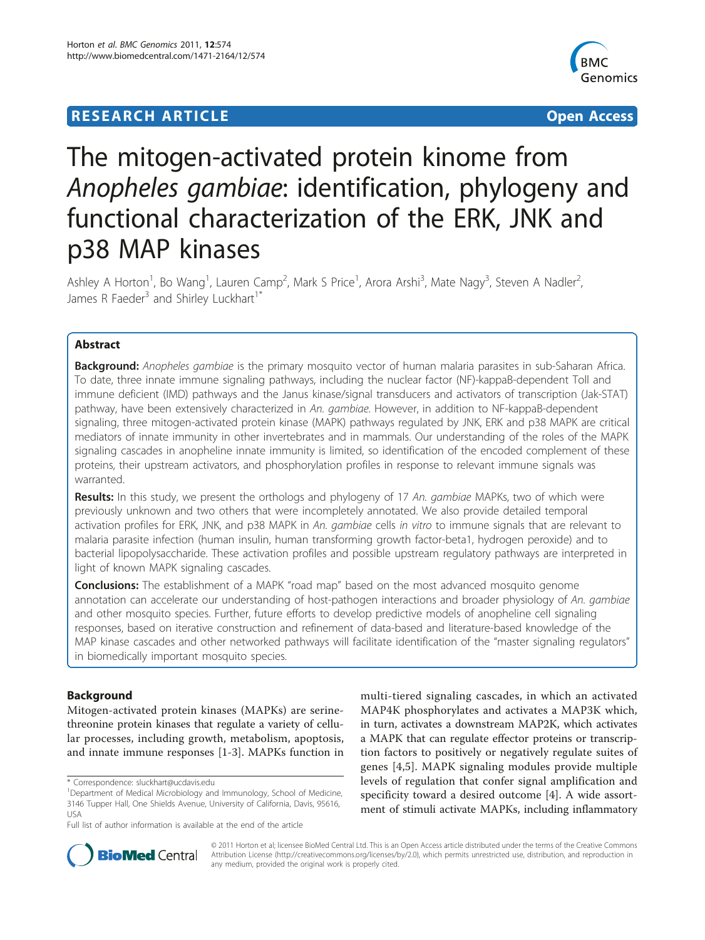## **RESEARCH ARTICLE Example 2018 12:00 Department of the Contract Open Access**



# The mitogen-activated protein kinome from Anopheles gambiae: identification, phylogeny and functional characterization of the ERK, JNK and p38 MAP kinases

Ashley A Horton<sup>1</sup>, Bo Wang<sup>1</sup>, Lauren Camp<sup>2</sup>, Mark S Price<sup>1</sup>, Arora Arshi<sup>3</sup>, Mate Nagy<sup>3</sup>, Steven A Nadler<sup>2</sup> .<br>, James R Faeder<sup>3</sup> and Shirley Luckhart<sup>1\*</sup>

## Abstract

Background: Anopheles gambiae is the primary mosquito vector of human malaria parasites in sub-Saharan Africa. To date, three innate immune signaling pathways, including the nuclear factor (NF)-kappaB-dependent Toll and immune deficient (IMD) pathways and the Janus kinase/signal transducers and activators of transcription (Jak-STAT) pathway, have been extensively characterized in An. gambiae. However, in addition to NF-kappaB-dependent signaling, three mitogen-activated protein kinase (MAPK) pathways regulated by JNK, ERK and p38 MAPK are critical mediators of innate immunity in other invertebrates and in mammals. Our understanding of the roles of the MAPK signaling cascades in anopheline innate immunity is limited, so identification of the encoded complement of these proteins, their upstream activators, and phosphorylation profiles in response to relevant immune signals was warranted.

Results: In this study, we present the orthologs and phylogeny of 17 An. gambiae MAPKs, two of which were previously unknown and two others that were incompletely annotated. We also provide detailed temporal activation profiles for ERK, JNK, and p38 MAPK in An. gambiae cells in vitro to immune signals that are relevant to malaria parasite infection (human insulin, human transforming growth factor-beta1, hydrogen peroxide) and to bacterial lipopolysaccharide. These activation profiles and possible upstream regulatory pathways are interpreted in light of known MAPK signaling cascades.

**Conclusions:** The establishment of a MAPK "road map" based on the most advanced mosquito genome annotation can accelerate our understanding of host-pathogen interactions and broader physiology of An. gambiae and other mosquito species. Further, future efforts to develop predictive models of anopheline cell signaling responses, based on iterative construction and refinement of data-based and literature-based knowledge of the MAP kinase cascades and other networked pathways will facilitate identification of the "master signaling regulators" in biomedically important mosquito species.

## **Background**

Mitogen-activated protein kinases (MAPKs) are serinethreonine protein kinases that regulate a variety of cellular processes, including growth, metabolism, apoptosis, and innate immune responses [\[1](#page-10-0)-[3\]](#page-10-0). MAPKs function in

\* Correspondence: [sluckhart@ucdavis.edu](mailto:sluckhart@ucdavis.edu)

multi-tiered signaling cascades, in which an activated MAP4K phosphorylates and activates a MAP3K which, in turn, activates a downstream MAP2K, which activates a MAPK that can regulate effector proteins or transcription factors to positively or negatively regulate suites of genes [[4,5](#page-10-0)]. MAPK signaling modules provide multiple levels of regulation that confer signal amplification and specificity toward a desired outcome [\[4](#page-10-0)]. A wide assortment of stimuli activate MAPKs, including inflammatory



© 2011 Horton et al; licensee BioMed Central Ltd. This is an Open Access article distributed under the terms of the Creative Commons Attribution License [\(http://creativecommons.org/licenses/by/2.0](http://creativecommons.org/licenses/by/2.0)), which permits unrestricted use, distribution, and reproduction in any medium, provided the original work is properly cited.

<sup>&</sup>lt;sup>1</sup>Department of Medical Microbiology and Immunology, School of Medicine, 3146 Tupper Hall, One Shields Avenue, University of California, Davis, 95616, USA

Full list of author information is available at the end of the article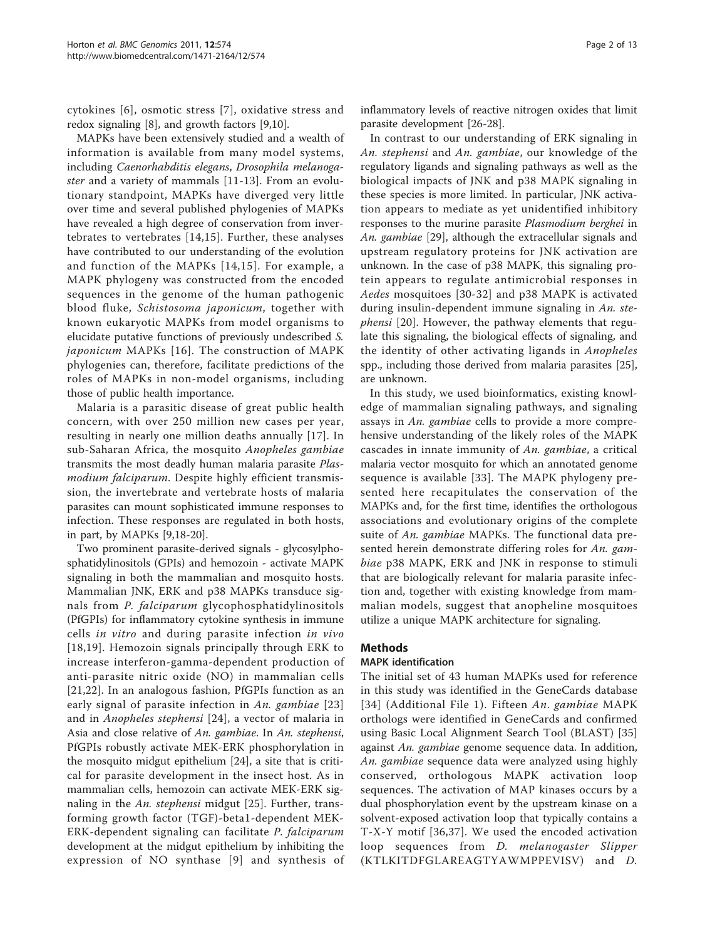cytokines [[6\]](#page-10-0), osmotic stress [[7](#page-10-0)], oxidative stress and redox signaling [\[8](#page-10-0)], and growth factors [[9](#page-10-0),[10](#page-10-0)].

MAPKs have been extensively studied and a wealth of information is available from many model systems, including Caenorhabditis elegans, Drosophila melanogaster and a variety of mammals [[11](#page-10-0)-[13\]](#page-10-0). From an evolutionary standpoint, MAPKs have diverged very little over time and several published phylogenies of MAPKs have revealed a high degree of conservation from invertebrates to vertebrates [[14](#page-10-0),[15\]](#page-11-0). Further, these analyses have contributed to our understanding of the evolution and function of the MAPKs [[14,](#page-10-0)[15](#page-11-0)]. For example, a MAPK phylogeny was constructed from the encoded sequences in the genome of the human pathogenic blood fluke, Schistosoma japonicum, together with known eukaryotic MAPKs from model organisms to elucidate putative functions of previously undescribed S. japonicum MAPKs [[16](#page-11-0)]. The construction of MAPK phylogenies can, therefore, facilitate predictions of the roles of MAPKs in non-model organisms, including those of public health importance.

Malaria is a parasitic disease of great public health concern, with over 250 million new cases per year, resulting in nearly one million deaths annually [[17\]](#page-11-0). In sub-Saharan Africa, the mosquito Anopheles gambiae transmits the most deadly human malaria parasite Plasmodium falciparum. Despite highly efficient transmission, the invertebrate and vertebrate hosts of malaria parasites can mount sophisticated immune responses to infection. These responses are regulated in both hosts, in part, by MAPKs [\[9](#page-10-0),[18](#page-11-0)-[20\]](#page-11-0).

Two prominent parasite-derived signals - glycosylphosphatidylinositols (GPIs) and hemozoin - activate MAPK signaling in both the mammalian and mosquito hosts. Mammalian JNK, ERK and p38 MAPKs transduce signals from P. falciparum glycophosphatidylinositols (PfGPIs) for inflammatory cytokine synthesis in immune cells in vitro and during parasite infection in vivo [[18](#page-11-0),[19](#page-11-0)]. Hemozoin signals principally through ERK to increase interferon-gamma-dependent production of anti-parasite nitric oxide (NO) in mammalian cells [[21,22](#page-11-0)]. In an analogous fashion, PfGPIs function as an early signal of parasite infection in An. gambiae [[23](#page-11-0)] and in Anopheles stephensi [[24\]](#page-11-0), a vector of malaria in Asia and close relative of An. gambiae. In An. stephensi, PfGPIs robustly activate MEK-ERK phosphorylation in the mosquito midgut epithelium [[24\]](#page-11-0), a site that is critical for parasite development in the insect host. As in mammalian cells, hemozoin can activate MEK-ERK sig-naling in the An. stephensi midgut [[25\]](#page-11-0). Further, transforming growth factor (TGF)-beta1-dependent MEK-ERK-dependent signaling can facilitate P. falciparum development at the midgut epithelium by inhibiting the expression of NO synthase [[9](#page-10-0)] and synthesis of inflammatory levels of reactive nitrogen oxides that limit parasite development [\[26-28](#page-11-0)].

In contrast to our understanding of ERK signaling in An. stephensi and An. gambiae, our knowledge of the regulatory ligands and signaling pathways as well as the biological impacts of JNK and p38 MAPK signaling in these species is more limited. In particular, JNK activation appears to mediate as yet unidentified inhibitory responses to the murine parasite Plasmodium berghei in An. gambiae [[29](#page-11-0)], although the extracellular signals and upstream regulatory proteins for JNK activation are unknown. In the case of p38 MAPK, this signaling protein appears to regulate antimicrobial responses in Aedes mosquitoes [\[30-32\]](#page-11-0) and p38 MAPK is activated during insulin-dependent immune signaling in An. ste-phensi [\[20](#page-11-0)]. However, the pathway elements that regulate this signaling, the biological effects of signaling, and the identity of other activating ligands in Anopheles spp., including those derived from malaria parasites [[25](#page-11-0)], are unknown.

In this study, we used bioinformatics, existing knowledge of mammalian signaling pathways, and signaling assays in An. gambiae cells to provide a more comprehensive understanding of the likely roles of the MAPK cascades in innate immunity of An. gambiae, a critical malaria vector mosquito for which an annotated genome sequence is available [\[33\]](#page-11-0). The MAPK phylogeny presented here recapitulates the conservation of the MAPKs and, for the first time, identifies the orthologous associations and evolutionary origins of the complete suite of An. gambiae MAPKs. The functional data presented herein demonstrate differing roles for An. gambiae p38 MAPK, ERK and JNK in response to stimuli that are biologically relevant for malaria parasite infection and, together with existing knowledge from mammalian models, suggest that anopheline mosquitoes utilize a unique MAPK architecture for signaling.

## Methods

### MAPK identification

The initial set of 43 human MAPKs used for reference in this study was identified in the GeneCards database [[34\]](#page-11-0) (Additional File [1\)](#page-10-0). Fifteen An. gambiae MAPK orthologs were identified in GeneCards and confirmed using Basic Local Alignment Search Tool (BLAST) [\[35](#page-11-0)] against An. *gambiae* genome sequence data. In addition, An. gambiae sequence data were analyzed using highly conserved, orthologous MAPK activation loop sequences. The activation of MAP kinases occurs by a dual phosphorylation event by the upstream kinase on a solvent-exposed activation loop that typically contains a T-X-Y motif [[36](#page-11-0),[37](#page-11-0)]. We used the encoded activation loop sequences from D. melanogaster Slipper (KTLKITDFGLAREAGTYAWMPPEVISV) and D.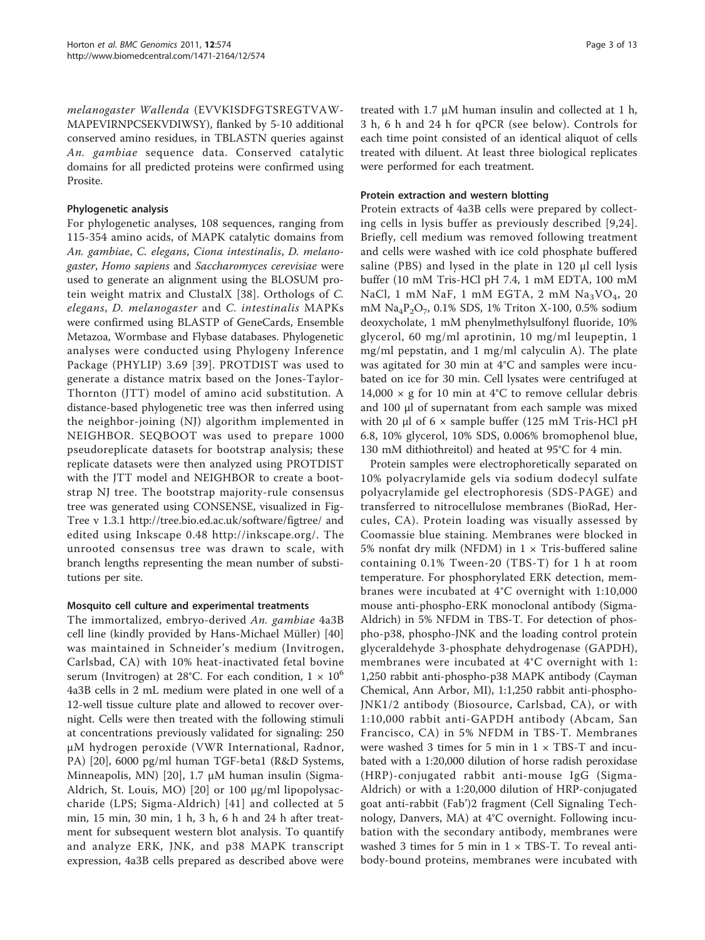melanogaster Wallenda (EVVKISDFGTSREGTVAW-MAPEVIRNPCSEKVDIWSY), flanked by 5-10 additional conserved amino residues, in TBLASTN queries against An. gambiae sequence data. Conserved catalytic domains for all predicted proteins were confirmed using Prosite.

## Phylogenetic analysis

For phylogenetic analyses, 108 sequences, ranging from 115-354 amino acids, of MAPK catalytic domains from An. gambiae, C. elegans, Ciona intestinalis, D. melanogaster, Homo sapiens and Saccharomyces cerevisiae were used to generate an alignment using the BLOSUM protein weight matrix and ClustalX [\[38\]](#page-11-0). Orthologs of C. elegans, D. melanogaster and C. intestinalis MAPKs were confirmed using BLASTP of GeneCards, Ensemble Metazoa, Wormbase and Flybase databases. Phylogenetic analyses were conducted using Phylogeny Inference Package (PHYLIP) 3.69 [[39](#page-11-0)]. PROTDIST was used to generate a distance matrix based on the Jones-Taylor-Thornton (JTT) model of amino acid substitution. A distance-based phylogenetic tree was then inferred using the neighbor-joining (NJ) algorithm implemented in NEIGHBOR. SEQBOOT was used to prepare 1000 pseudoreplicate datasets for bootstrap analysis; these replicate datasets were then analyzed using PROTDIST with the JTT model and NEIGHBOR to create a bootstrap NJ tree. The bootstrap majority-rule consensus tree was generated using CONSENSE, visualized in Fig-Tree v 1.3.1<http://tree.bio.ed.ac.uk/software/figtree/> and edited using Inkscape 0.48<http://inkscape.org/>. The unrooted consensus tree was drawn to scale, with branch lengths representing the mean number of substitutions per site.

### Mosquito cell culture and experimental treatments

The immortalized, embryo-derived An. gambiae 4a3B cell line (kindly provided by Hans-Michael Müller) [\[40](#page-11-0)] was maintained in Schneider's medium (Invitrogen, Carlsbad, CA) with 10% heat-inactivated fetal bovine serum (Invitrogen) at 28°C. For each condition,  $1 \times 10^6$ 4a3B cells in 2 mL medium were plated in one well of a 12-well tissue culture plate and allowed to recover overnight. Cells were then treated with the following stimuli at concentrations previously validated for signaling: 250 μM hydrogen peroxide (VWR International, Radnor, PA) [[20\]](#page-11-0), 6000 pg/ml human TGF-beta1 (R&D Systems, Minneapolis, MN) [[20](#page-11-0)], 1.7 μM human insulin (Sigma-Aldrich, St. Louis, MO) [[20\]](#page-11-0) or 100 μg/ml lipopolysaccharide (LPS; Sigma-Aldrich) [[41](#page-11-0)] and collected at 5 min, 15 min, 30 min, 1 h, 3 h, 6 h and 24 h after treatment for subsequent western blot analysis. To quantify and analyze ERK, JNK, and p38 MAPK transcript expression, 4a3B cells prepared as described above were

treated with 1.7 μM human insulin and collected at 1 h, 3 h, 6 h and 24 h for qPCR (see below). Controls for each time point consisted of an identical aliquot of cells treated with diluent. At least three biological replicates were performed for each treatment.

## Protein extraction and western blotting

Protein extracts of 4a3B cells were prepared by collecting cells in lysis buffer as previously described [[9](#page-10-0),[24](#page-11-0)]. Briefly, cell medium was removed following treatment and cells were washed with ice cold phosphate buffered saline (PBS) and lysed in the plate in 120 μl cell lysis buffer (10 mM Tris-HCl pH 7.4, 1 mM EDTA, 100 mM NaCl, 1 mM NaF, 1 mM EGTA, 2 mM  $Na<sub>3</sub>VO<sub>4</sub>$ , 20 mM  $\text{Na}_4\text{P}_2\text{O}_7$ , 0.1% SDS, 1% Triton X-100, 0.5% sodium deoxycholate, 1 mM phenylmethylsulfonyl fluoride, 10% glycerol, 60 mg/ml aprotinin, 10 mg/ml leupeptin, 1 mg/ml pepstatin, and 1 mg/ml calyculin A). The plate was agitated for 30 min at 4°C and samples were incubated on ice for 30 min. Cell lysates were centrifuged at 14,000  $\times$  g for 10 min at 4°C to remove cellular debris and 100 μl of supernatant from each sample was mixed with 20  $\mu$ l of 6  $\times$  sample buffer (125 mM Tris-HCl pH 6.8, 10% glycerol, 10% SDS, 0.006% bromophenol blue, 130 mM dithiothreitol) and heated at 95°C for 4 min.

Protein samples were electrophoretically separated on 10% polyacrylamide gels via sodium dodecyl sulfate polyacrylamide gel electrophoresis (SDS-PAGE) and transferred to nitrocellulose membranes (BioRad, Hercules, CA). Protein loading was visually assessed by Coomassie blue staining. Membranes were blocked in 5% nonfat dry milk (NFDM) in  $1 \times$  Tris-buffered saline containing 0.1% Tween-20 (TBS-T) for 1 h at room temperature. For phosphorylated ERK detection, membranes were incubated at 4°C overnight with 1:10,000 mouse anti-phospho-ERK monoclonal antibody (Sigma-Aldrich) in 5% NFDM in TBS-T. For detection of phospho-p38, phospho-JNK and the loading control protein glyceraldehyde 3-phosphate dehydrogenase (GAPDH), membranes were incubated at 4°C overnight with 1: 1,250 rabbit anti-phospho-p38 MAPK antibody (Cayman Chemical, Ann Arbor, MI), 1:1,250 rabbit anti-phospho-JNK1/2 antibody (Biosource, Carlsbad, CA), or with 1:10,000 rabbit anti-GAPDH antibody (Abcam, San Francisco, CA) in 5% NFDM in TBS-T. Membranes were washed 3 times for 5 min in  $1 \times TBS-T$  and incubated with a 1:20,000 dilution of horse radish peroxidase (HRP)-conjugated rabbit anti-mouse IgG (Sigma-Aldrich) or with a 1:20,000 dilution of HRP-conjugated goat anti-rabbit (Fab')2 fragment (Cell Signaling Technology, Danvers, MA) at 4°C overnight. Following incubation with the secondary antibody, membranes were washed 3 times for 5 min in  $1 \times TBS-T$ . To reveal antibody-bound proteins, membranes were incubated with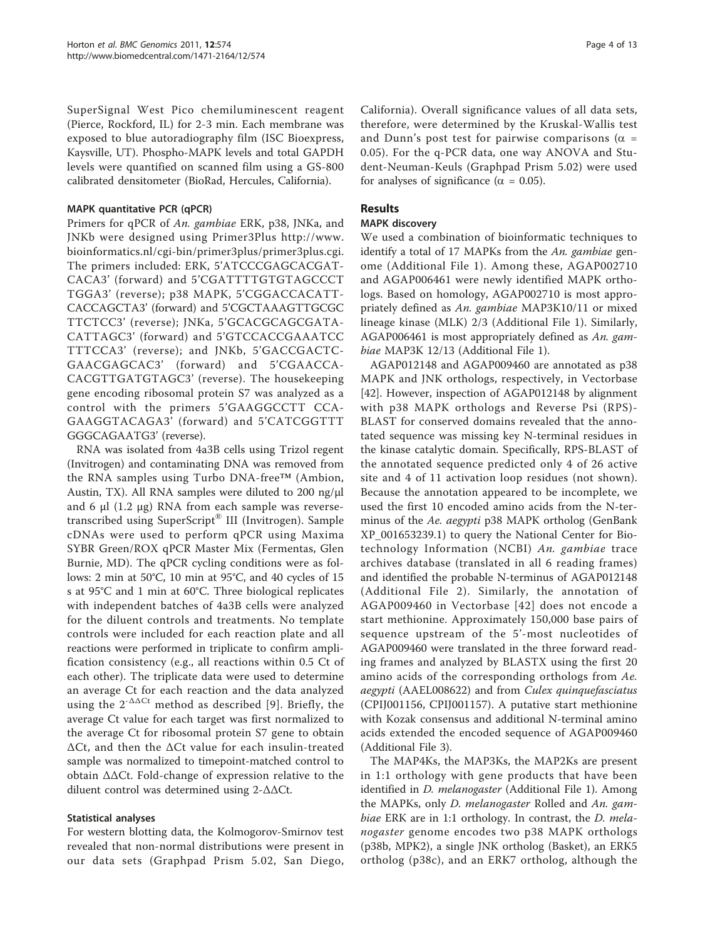SuperSignal West Pico chemiluminescent reagent (Pierce, Rockford, IL) for 2-3 min. Each membrane was exposed to blue autoradiography film (ISC Bioexpress, Kaysville, UT). Phospho-MAPK levels and total GAPDH levels were quantified on scanned film using a GS-800 calibrated densitometer (BioRad, Hercules, California).

### MAPK quantitative PCR (qPCR)

Primers for qPCR of An. gambiae ERK, p38, JNKa, and JNKb were designed using Primer3Plus [http://www.](http://www.bioinformatics.nl/cgi-bin/primer3plus/primer3plus.cgi) [bioinformatics.nl/cgi-bin/primer3plus/primer3plus.cgi](http://www.bioinformatics.nl/cgi-bin/primer3plus/primer3plus.cgi). The primers included: ERK, 5'ATCCCGAGCACGAT-CACA3' (forward) and 5'CGATTTTGTGTAGCCCT TGGA3' (reverse); p38 MAPK, 5'CGGACCACATT-CACCAGCTA3' (forward) and 5'CGCTAAAGTTGCGC TTCTCC3' (reverse); JNKa, 5'GCACGCAGCGATA-CATTAGC3' (forward) and 5'GTCCACCGAAATCC TTTCCA3' (reverse); and JNKb, 5'GACCGACTC-GAACGAGCAC3' (forward) and 5'CGAACCA-CACGTTGATGTAGC3' (reverse). The housekeeping gene encoding ribosomal protein S7 was analyzed as a control with the primers 5'GAAGGCCTT CCA-GAAGGTACAGA3' (forward) and 5'CATCGGTTT GGGCAGAATG3' (reverse).

RNA was isolated from 4a3B cells using Trizol regent (Invitrogen) and contaminating DNA was removed from the RNA samples using Turbo DNA-free™ (Ambion, Austin, TX). All RNA samples were diluted to 200 ng/μl and 6 μl (1.2 μg) RNA from each sample was reversetranscribed using SuperScript® III (Invitrogen). Sample cDNAs were used to perform qPCR using Maxima SYBR Green/ROX qPCR Master Mix (Fermentas, Glen Burnie, MD). The qPCR cycling conditions were as follows: 2 min at 50°C, 10 min at 95°C, and 40 cycles of 15 s at 95°C and 1 min at 60°C. Three biological replicates with independent batches of 4a3B cells were analyzed for the diluent controls and treatments. No template controls were included for each reaction plate and all reactions were performed in triplicate to confirm amplification consistency (e.g., all reactions within 0.5 Ct of each other). The triplicate data were used to determine an average Ct for each reaction and the data analyzed using the  $2^{-\Delta\Delta Ct}$  method as described [[9](#page-10-0)]. Briefly, the average Ct value for each target was first normalized to the average Ct for ribosomal protein S7 gene to obtain ΔCt, and then the ΔCt value for each insulin-treated sample was normalized to timepoint-matched control to obtain ΔΔCt. Fold-change of expression relative to the diluent control was determined using 2-ΔΔCt.

### Statistical analyses

For western blotting data, the Kolmogorov-Smirnov test revealed that non-normal distributions were present in our data sets (Graphpad Prism 5.02, San Diego,

California). Overall significance values of all data sets, therefore, were determined by the Kruskal-Wallis test and Dunn's post test for pairwise comparisons ( $\alpha$  = 0.05). For the q-PCR data, one way ANOVA and Student-Neuman-Keuls (Graphpad Prism 5.02) were used for analyses of significance ( $\alpha = 0.05$ ).

## Results

#### MAPK discovery

We used a combination of bioinformatic techniques to identify a total of 17 MAPKs from the An. gambiae genome (Additional File [1](#page-10-0)). Among these, AGAP002710 and AGAP006461 were newly identified MAPK orthologs. Based on homology, AGAP002710 is most appropriately defined as An. gambiae MAP3K10/11 or mixed lineage kinase (MLK) 2/3 (Additional File [1](#page-10-0)). Similarly, AGAP006461 is most appropriately defined as An. gambiae MAP3K 12/13 (Additional File [1](#page-10-0)).

AGAP012148 and AGAP009460 are annotated as p38 MAPK and JNK orthologs, respectively, in Vectorbase [[42\]](#page-11-0). However, inspection of AGAP012148 by alignment with p38 MAPK orthologs and Reverse Psi (RPS)- BLAST for conserved domains revealed that the annotated sequence was missing key N-terminal residues in the kinase catalytic domain. Specifically, RPS-BLAST of the annotated sequence predicted only 4 of 26 active site and 4 of 11 activation loop residues (not shown). Because the annotation appeared to be incomplete, we used the first 10 encoded amino acids from the N-terminus of the Ae. aegypti p38 MAPK ortholog (GenBank [XP\\_001653239.1\)](http://www.ncbi.nih.gov/entrez/query.fcgi?db=Nucleotide&cmd=search&term=XP_001653239.1) to query the National Center for Biotechnology Information (NCBI) An. gambiae trace archives database (translated in all 6 reading frames) and identified the probable N-terminus of AGAP012148 (Additional File [2](#page-10-0)). Similarly, the annotation of AGAP009460 in Vectorbase [[42\]](#page-11-0) does not encode a start methionine. Approximately 150,000 base pairs of sequence upstream of the 5'-most nucleotides of AGAP009460 were translated in the three forward reading frames and analyzed by BLASTX using the first 20 amino acids of the corresponding orthologs from Ae. aegypti (AAEL008622) and from Culex quinquefasciatus (CPIJ001156, CPIJ001157). A putative start methionine with Kozak consensus and additional N-terminal amino acids extended the encoded sequence of AGAP009460 (Additional File [3\)](#page-10-0).

The MAP4Ks, the MAP3Ks, the MAP2Ks are present in 1:1 orthology with gene products that have been identified in *D. melanogaster* (Additional File [1\)](#page-10-0). Among the MAPKs, only D. melanogaster Rolled and An. gambiae ERK are in 1:1 orthology. In contrast, the D. melanogaster genome encodes two p38 MAPK orthologs (p38b, MPK2), a single JNK ortholog (Basket), an ERK5 ortholog (p38c), and an ERK7 ortholog, although the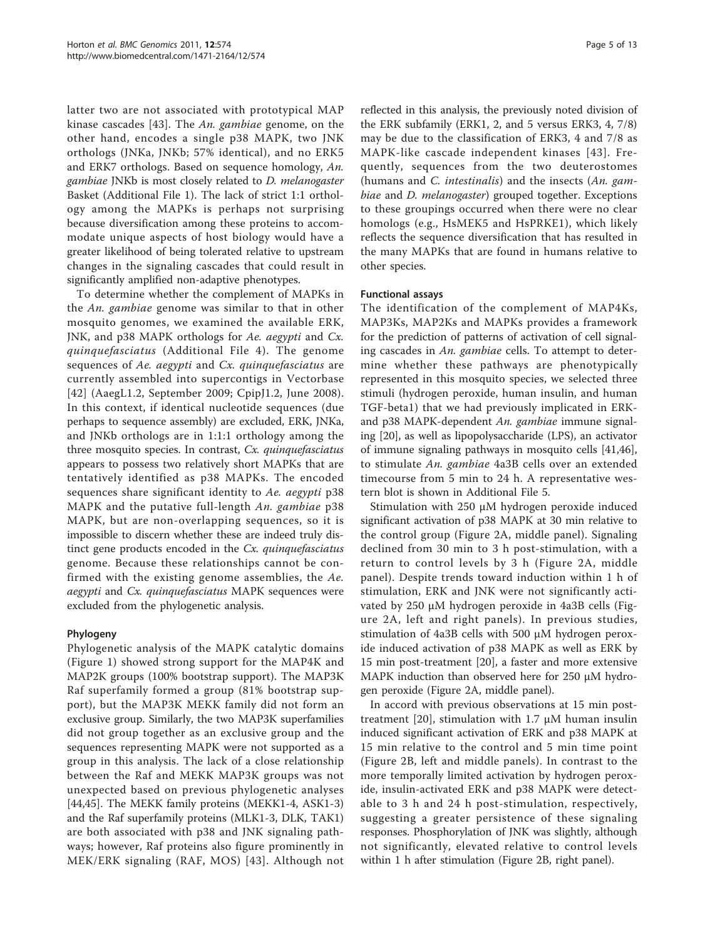latter two are not associated with prototypical MAP kinase cascades [[43\]](#page-11-0). The An. gambiae genome, on the other hand, encodes a single p38 MAPK, two JNK orthologs (JNKa, JNKb; 57% identical), and no ERK5 and ERK7 orthologs. Based on sequence homology, An. gambiae JNKb is most closely related to D. melanogaster Basket (Additional File [1\)](#page-10-0). The lack of strict 1:1 orthology among the MAPKs is perhaps not surprising because diversification among these proteins to accommodate unique aspects of host biology would have a greater likelihood of being tolerated relative to upstream changes in the signaling cascades that could result in significantly amplified non-adaptive phenotypes.

To determine whether the complement of MAPKs in the An. gambiae genome was similar to that in other mosquito genomes, we examined the available ERK, JNK, and p38 MAPK orthologs for Ae. aegypti and Cx. quinquefasciatus (Additional File [4](#page-10-0)). The genome sequences of Ae. aegypti and Cx. quinquefasciatus are currently assembled into supercontigs in Vectorbase [[42](#page-11-0)] (AaegL1.2, September 2009; CpipJ1.2, June 2008). In this context, if identical nucleotide sequences (due perhaps to sequence assembly) are excluded, ERK, JNKa, and JNKb orthologs are in 1:1:1 orthology among the three mosquito species. In contrast, Cx. quinquefasciatus appears to possess two relatively short MAPKs that are tentatively identified as p38 MAPKs. The encoded sequences share significant identity to Ae. aegypti p38 MAPK and the putative full-length An. gambiae p38 MAPK, but are non-overlapping sequences, so it is impossible to discern whether these are indeed truly distinct gene products encoded in the Cx. quinquefasciatus genome. Because these relationships cannot be confirmed with the existing genome assemblies, the Ae. aegypti and Cx. quinquefasciatus MAPK sequences were excluded from the phylogenetic analysis.

### Phylogeny

Phylogenetic analysis of the MAPK catalytic domains (Figure [1\)](#page-5-0) showed strong support for the MAP4K and MAP2K groups (100% bootstrap support). The MAP3K Raf superfamily formed a group (81% bootstrap support), but the MAP3K MEKK family did not form an exclusive group. Similarly, the two MAP3K superfamilies did not group together as an exclusive group and the sequences representing MAPK were not supported as a group in this analysis. The lack of a close relationship between the Raf and MEKK MAP3K groups was not unexpected based on previous phylogenetic analyses [[44,45\]](#page-11-0). The MEKK family proteins (MEKK1-4, ASK1-3) and the Raf superfamily proteins (MLK1-3, DLK, TAK1) are both associated with p38 and JNK signaling pathways; however, Raf proteins also figure prominently in MEK/ERK signaling (RAF, MOS) [[43](#page-11-0)]. Although not

reflected in this analysis, the previously noted division of the ERK subfamily (ERK1, 2, and 5 versus ERK3, 4, 7/8) may be due to the classification of ERK3, 4 and 7/8 as MAPK-like cascade independent kinases [[43\]](#page-11-0). Frequently, sequences from the two deuterostomes (humans and C. intestinalis) and the insects  $(An, gam$ biae and *D. melanogaster*) grouped together. Exceptions to these groupings occurred when there were no clear homologs (e.g., HsMEK5 and HsPRKE1), which likely reflects the sequence diversification that has resulted in the many MAPKs that are found in humans relative to other species.

### Functional assays

The identification of the complement of MAP4Ks, MAP3Ks, MAP2Ks and MAPKs provides a framework for the prediction of patterns of activation of cell signaling cascades in An. gambiae cells. To attempt to determine whether these pathways are phenotypically represented in this mosquito species, we selected three stimuli (hydrogen peroxide, human insulin, and human TGF-beta1) that we had previously implicated in ERKand p38 MAPK-dependent An. gambiae immune signaling [[20\]](#page-11-0), as well as lipopolysaccharide (LPS), an activator of immune signaling pathways in mosquito cells [\[41,46](#page-11-0)], to stimulate An. gambiae 4a3B cells over an extended timecourse from 5 min to 24 h. A representative western blot is shown in Additional File [5.](#page-10-0)

Stimulation with 250 μM hydrogen peroxide induced significant activation of p38 MAPK at 30 min relative to the control group (Figure [2A,](#page-6-0) middle panel). Signaling declined from 30 min to 3 h post-stimulation, with a return to control levels by 3 h (Figure [2A](#page-6-0), middle panel). Despite trends toward induction within 1 h of stimulation, ERK and JNK were not significantly activated by 250 μM hydrogen peroxide in 4a3B cells (Figure [2A,](#page-6-0) left and right panels). In previous studies, stimulation of 4a3B cells with 500 μM hydrogen peroxide induced activation of p38 MAPK as well as ERK by 15 min post-treatment [\[20](#page-11-0)], a faster and more extensive MAPK induction than observed here for 250 μM hydrogen peroxide (Figure [2A,](#page-6-0) middle panel).

In accord with previous observations at 15 min post-treatment [\[20](#page-11-0)], stimulation with 1.7  $\mu$ M human insulin induced significant activation of ERK and p38 MAPK at 15 min relative to the control and 5 min time point (Figure [2B,](#page-6-0) left and middle panels). In contrast to the more temporally limited activation by hydrogen peroxide, insulin-activated ERK and p38 MAPK were detectable to 3 h and 24 h post-stimulation, respectively, suggesting a greater persistence of these signaling responses. Phosphorylation of JNK was slightly, although not significantly, elevated relative to control levels within 1 h after stimulation (Figure [2B,](#page-6-0) right panel).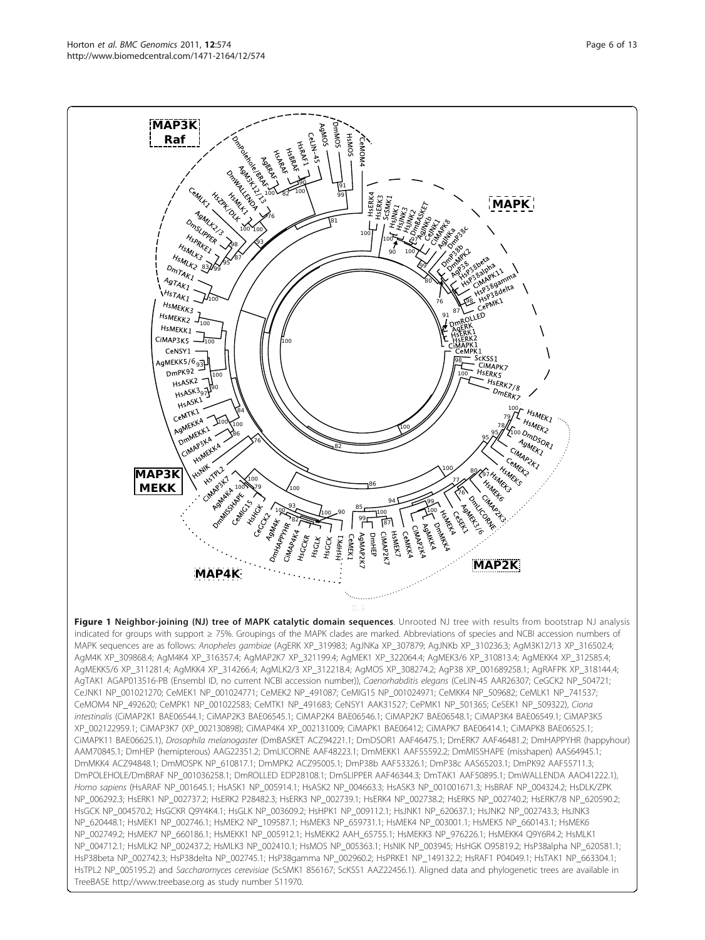<span id="page-5-0"></span>MAP3K **Raf** 

> $10$  $\mathbf 0$

99

95

100 --

83

SMIK2<br>DmTAK1<br>AaTAK1  $A_{g\gamma_{A}}$  $HSTAKI$  $H_{SMEKK3}$ HsMEKK1 CIMAP3K5

**AGNALK 3** DmsLIPPER H<sub>SPRKET</sub><br>MIKKET

CeM/FZ





 $0.3$ 

Figure 1 Neighbor-joining (NJ) tree of MAPK catalytic domain sequences. Unrooted NJ tree with results from bootstrap NJ analysis indicated for groups with support ≥ 75%. Groupings of the MAPK clades are marked. Abbreviations of species and NCBI accession numbers of MAPK sequences are as follows: Anopheles gambiae (AgERK XP\_319983; AgJNKa XP\_307879; AgJNKb XP\_310236.3; AgM3K12/13 XP\_316502.4; AgM4K XP\_309868.4; AgM4K4 XP\_316357.4; AgMAP2K7 XP\_321199.4; AgMEK1 XP\_322064.4; AgMEK3/6 XP\_310813.4; AgMEKK4 XP\_312585.4; AgMEKK5/6 XP\_311281.4; AgMKK4 XP\_314266.4; AgMLK2/3 XP\_312218.4; AgMOS XP\_308274.2; AgP38 XP\_001689258.1; AgRAFPK XP\_318144.4; AgTAK1 AGAP013516-PB (Ensembl ID, no current NCBI accession number)), Caenorhabditis elegans (CeLIN-45 AAR26307; CeGCK2 NP\_504721; CeJNK1 NP\_001021270; CeMEK1 NP\_001024771; CeMEK2 NP\_491087; CeMIG15 NP\_001024971; CeMKK4 NP\_509682; CeMLK1 NP\_741537; CeMOM4 NP\_492620; CeMPK1 NP\_001022583; CeMTK1 NP\_491683; CeNSY1 AAK31527; CePMK1 NP\_501365; CeSEK1 NP\_509322), Ciona intestinalis (CiMAP2K1 BAE06544.1; CiMAP2K3 BAE06545.1; CiMAP2K4 BAE06546.1; CiMAP2K7 BAE06548.1; CiMAP3K4 BAE06549.1; CiMAP3K5 XP\_002122959.1; CiMAP3K7 (XP\_002130898); CiMAP4K4 XP\_002131009; CiMAPK1 BAE06412; CiMAPK7 BAE06414.1; CiMAPK8 BAE06525.1; CiMAPK11 BAE06625.1), Drosophila melanogaster (DmBASKET ACZ94221.1; DmDSOR1 AAF46475.1; DmERK7 AAF46481.2; DmHAPPYHR (happyhour) AAM70845.1; DmHEP (hemipterous) AAG22351.2; DmLICORNE AAF48223.1; DmMEKK1 AAF55592.2; DmMISSHAPE (misshapen) AAS64945.1; DmMKK4 ACZ94848.1; DmMOSPK NP\_610817.1; DmMPK2 ACZ95005.1; DmP38b AAF53326.1; DmP38c AAS65203.1; DmPK92 AAF55711.3; DmPOLEHOLE/DmBRAF NP\_001036258.1; DmROLLED EDP28108.1; DmSLIPPER AAF46344.3; DmTAK1 AAF50895.1; DmWALLENDA AAO41222.1), Homo sapiens (HsARAF NP\_001645.1; HsASK1 NP\_005914.1; HsASK2 NP\_004663.3; HsASK3 NP\_001001671.3; HsBRAF NP\_004324.2; HsDLK/ZPK NP\_006292.3; HsERK1 NP\_002737.2; HsERK2 P28482.3; HsERK3 NP\_002739.1; HsERK4 NP\_002738.2; HsERK5 NP\_002740.2; HsERK7/8 NP\_620590.2; HsGCK NP\_004570.2; HsGCKR Q9Y4K4.1; HsGLK NP\_003609.2; HsHPK1 NP\_009112.1; HsJNK1 NP\_620637.1; HsJNK2 NP\_002743.3; HsJNK3 NP\_620448.1; HsMEK1 NP\_002746.1; HsMEK2 NP\_109587.1; HsMEK3 NP\_659731.1; HsMEK4 NP\_003001.1; HsMEK5 NP\_660143.1; HsMEK6 NP\_002749.2; HsMEK7 NP\_660186.1; HsMEKK1 NP\_005912.1; HsMEKK2 AAH\_65755.1; HsMEKK3 NP\_976226.1; HsMEKK4 Q9Y6R4.2; HsMLK1 NP\_004712.1; HsMLK2 NP\_002437.2; HsMLK3 NP\_002410.1; HsMOS NP\_005363.1; HsNIK NP\_003945; HsHGK O95819.2; HsP38alpha NP\_620581.1; HsP38beta NP\_002742.3; HsP38delta NP\_002745.1; HsP38gamma NP\_002960.2; HsPRKE1 NP\_149132.2; HsRAF1 P04049.1; HsTAK1 NP\_663304.1; HsTPL2 NP\_005195.2) and Saccharomyces cerevisiae (ScSMK1 856167; ScKSS1 AAZ22456.1). Aligned data and phylogenetic trees are available in TreeBASE<http://www.treebase.org> as study number S11970.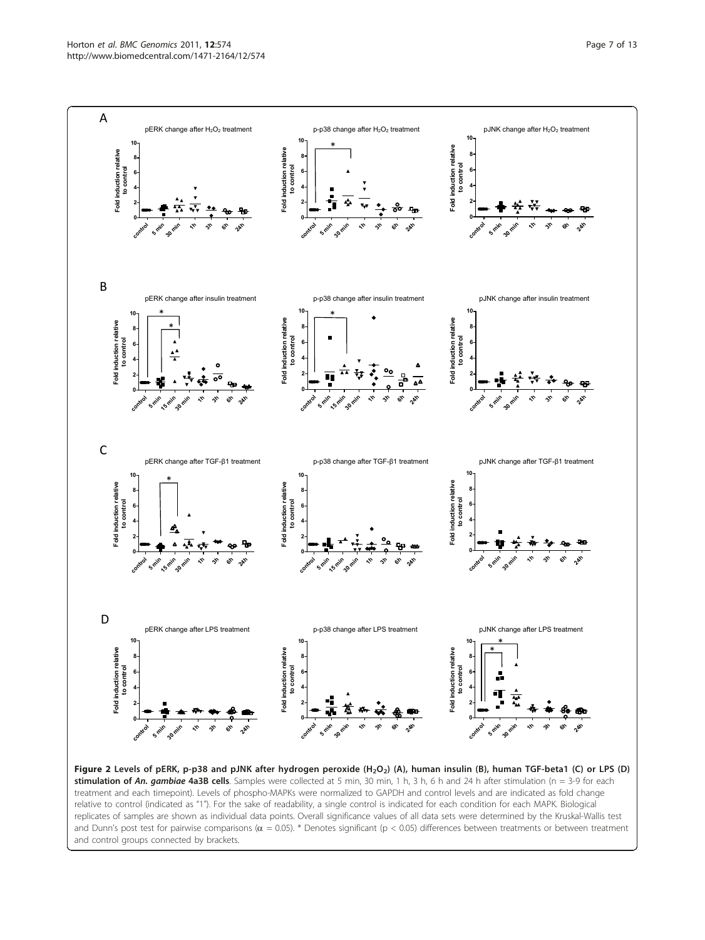<span id="page-6-0"></span>

and control groups connected by brackets.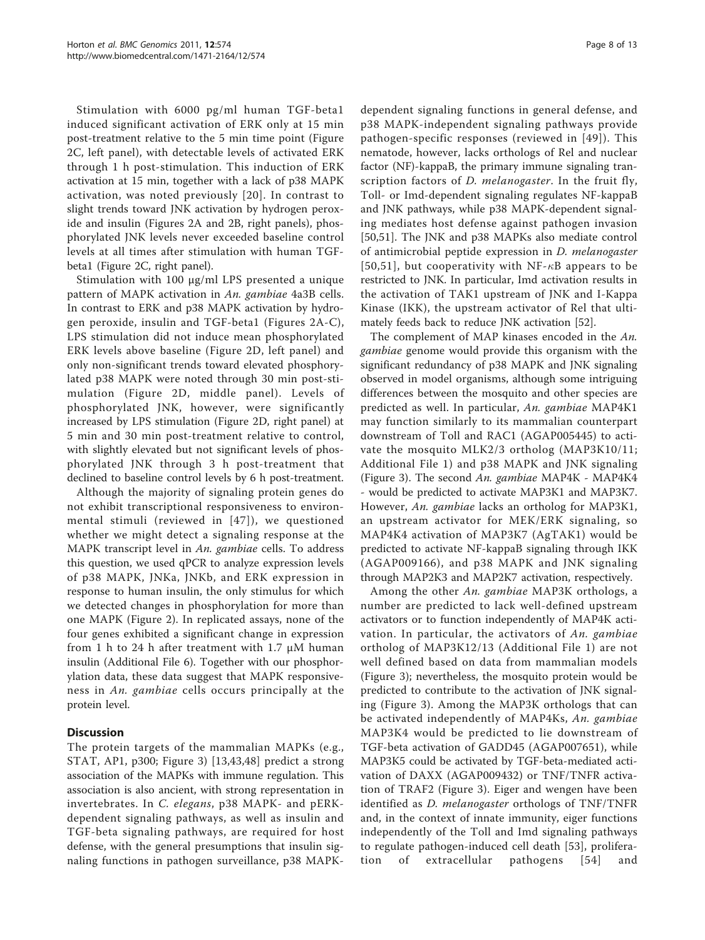Stimulation with 6000 pg/ml human TGF-beta1 induced significant activation of ERK only at 15 min post-treatment relative to the 5 min time point (Figure [2C,](#page-6-0) left panel), with detectable levels of activated ERK through 1 h post-stimulation. This induction of ERK activation at 15 min, together with a lack of p38 MAPK activation, was noted previously [[20\]](#page-11-0). In contrast to slight trends toward JNK activation by hydrogen peroxide and insulin (Figures [2A](#page-6-0) and [2B,](#page-6-0) right panels), phosphorylated JNK levels never exceeded baseline control levels at all times after stimulation with human TGFbeta1 (Figure [2C](#page-6-0), right panel).

Stimulation with 100 μg/ml LPS presented a unique pattern of MAPK activation in An. gambiae 4a3B cells. In contrast to ERK and p38 MAPK activation by hydrogen peroxide, insulin and TGF-beta1 (Figures [2A-C](#page-6-0)), LPS stimulation did not induce mean phosphorylated ERK levels above baseline (Figure [2D,](#page-6-0) left panel) and only non-significant trends toward elevated phosphorylated p38 MAPK were noted through 30 min post-stimulation (Figure [2D](#page-6-0), middle panel). Levels of phosphorylated JNK, however, were significantly increased by LPS stimulation (Figure [2D,](#page-6-0) right panel) at 5 min and 30 min post-treatment relative to control, with slightly elevated but not significant levels of phosphorylated JNK through 3 h post-treatment that declined to baseline control levels by 6 h post-treatment.

Although the majority of signaling protein genes do not exhibit transcriptional responsiveness to environmental stimuli (reviewed in [[47](#page-11-0)]), we questioned whether we might detect a signaling response at the MAPK transcript level in An. gambiae cells. To address this question, we used qPCR to analyze expression levels of p38 MAPK, JNKa, JNKb, and ERK expression in response to human insulin, the only stimulus for which we detected changes in phosphorylation for more than one MAPK (Figure [2](#page-6-0)). In replicated assays, none of the four genes exhibited a significant change in expression from 1 h to 24 h after treatment with 1.7  $\mu$ M human insulin (Additional File [6](#page-10-0)). Together with our phosphorylation data, these data suggest that MAPK responsiveness in An. gambiae cells occurs principally at the protein level.

## **Discussion**

The protein targets of the mammalian MAPKs (e.g., STAT, AP1, p300; Figure [3](#page-8-0)) [[13](#page-10-0)[,43](#page-11-0),[48\]](#page-11-0) predict a strong association of the MAPKs with immune regulation. This association is also ancient, with strong representation in invertebrates. In C. elegans, p38 MAPK- and pERKdependent signaling pathways, as well as insulin and TGF-beta signaling pathways, are required for host defense, with the general presumptions that insulin signaling functions in pathogen surveillance, p38 MAPK-

dependent signaling functions in general defense, and p38 MAPK-independent signaling pathways provide pathogen-specific responses (reviewed in [[49\]](#page-11-0)). This nematode, however, lacks orthologs of Rel and nuclear factor (NF)-kappaB, the primary immune signaling transcription factors of *D. melanogaster*. In the fruit fly, Toll- or Imd-dependent signaling regulates NF-kappaB and JNK pathways, while p38 MAPK-dependent signaling mediates host defense against pathogen invasion [[50,51](#page-11-0)]. The JNK and p38 MAPKs also mediate control of antimicrobial peptide expression in D. melanogaster [[50,51](#page-11-0)], but cooperativity with NF- $\kappa$ B appears to be restricted to JNK. In particular, Imd activation results in the activation of TAK1 upstream of JNK and I-Kappa Kinase (IKK), the upstream activator of Rel that ultimately feeds back to reduce JNK activation [[52\]](#page-11-0).

The complement of MAP kinases encoded in the An. gambiae genome would provide this organism with the significant redundancy of p38 MAPK and JNK signaling observed in model organisms, although some intriguing differences between the mosquito and other species are predicted as well. In particular, An. gambiae MAP4K1 may function similarly to its mammalian counterpart downstream of Toll and RAC1 (AGAP005445) to activate the mosquito MLK2/3 ortholog (MAP3K10/11; Additional File [1](#page-10-0)) and p38 MAPK and JNK signaling (Figure [3](#page-8-0)). The second An. gambiae MAP4K - MAP4K4 - would be predicted to activate MAP3K1 and MAP3K7. However, An. gambiae lacks an ortholog for MAP3K1, an upstream activator for MEK/ERK signaling, so MAP4K4 activation of MAP3K7 (AgTAK1) would be predicted to activate NF-kappaB signaling through IKK (AGAP009166), and p38 MAPK and JNK signaling through MAP2K3 and MAP2K7 activation, respectively.

Among the other An. gambiae MAP3K orthologs, a number are predicted to lack well-defined upstream activators or to function independently of MAP4K activation. In particular, the activators of An. gambiae ortholog of MAP3K12/13 (Additional File [1\)](#page-10-0) are not well defined based on data from mammalian models (Figure [3\)](#page-8-0); nevertheless, the mosquito protein would be predicted to contribute to the activation of JNK signaling (Figure [3\)](#page-8-0). Among the MAP3K orthologs that can be activated independently of MAP4Ks, An. gambiae MAP3K4 would be predicted to lie downstream of TGF-beta activation of GADD45 (AGAP007651), while MAP3K5 could be activated by TGF-beta-mediated activation of DAXX (AGAP009432) or TNF/TNFR activation of TRAF2 (Figure [3](#page-8-0)). Eiger and wengen have been identified as *D. melanogaster* orthologs of TNF/TNFR and, in the context of innate immunity, eiger functions independently of the Toll and Imd signaling pathways to regulate pathogen-induced cell death [\[53](#page-11-0)], proliferation of extracellular pathogens [[54\]](#page-11-0) and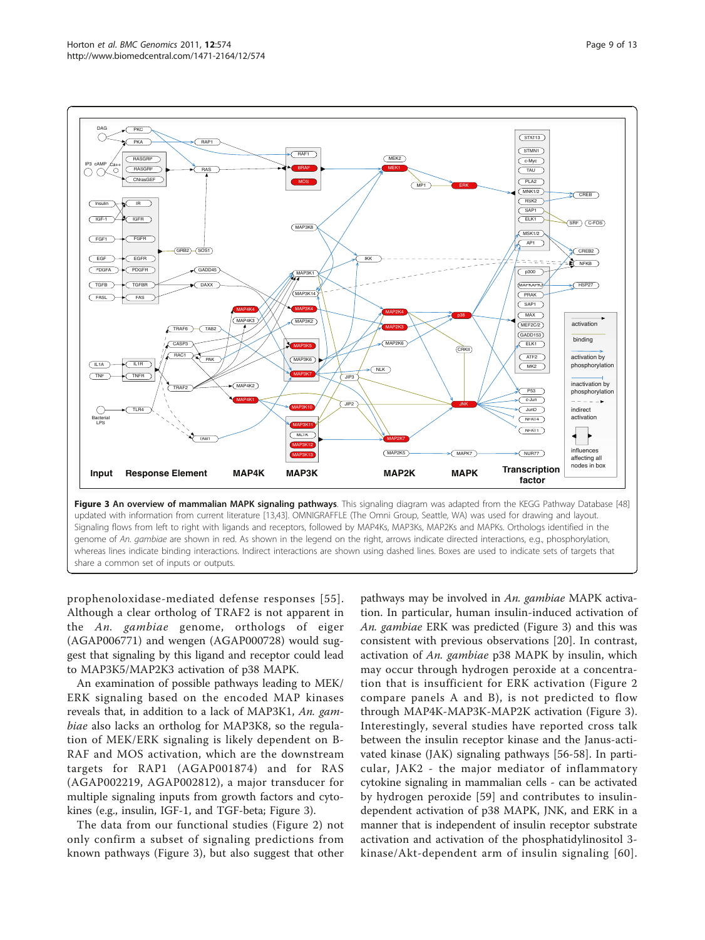<span id="page-8-0"></span>

prophenoloxidase-mediated defense responses [[55\]](#page-12-0). Although a clear ortholog of TRAF2 is not apparent in the An. gambiae genome, orthologs of eiger (AGAP006771) and wengen (AGAP000728) would suggest that signaling by this ligand and receptor could lead to MAP3K5/MAP2K3 activation of p38 MAPK.

An examination of possible pathways leading to MEK/ ERK signaling based on the encoded MAP kinases reveals that, in addition to a lack of MAP3K1, An. gambiae also lacks an ortholog for MAP3K8, so the regulation of MEK/ERK signaling is likely dependent on B-RAF and MOS activation, which are the downstream targets for RAP1 (AGAP001874) and for RAS (AGAP002219, AGAP002812), a major transducer for multiple signaling inputs from growth factors and cytokines (e.g., insulin, IGF-1, and TGF-beta; Figure 3).

The data from our functional studies (Figure [2](#page-6-0)) not only confirm a subset of signaling predictions from known pathways (Figure 3), but also suggest that other

pathways may be involved in An. gambiae MAPK activation. In particular, human insulin-induced activation of An. gambiae ERK was predicted (Figure 3) and this was consistent with previous observations [[20\]](#page-11-0). In contrast, activation of An. gambiae p38 MAPK by insulin, which may occur through hydrogen peroxide at a concentration that is insufficient for ERK activation (Figure [2](#page-6-0) compare panels A and B), is not predicted to flow through MAP4K-MAP3K-MAP2K activation (Figure 3). Interestingly, several studies have reported cross talk between the insulin receptor kinase and the Janus-activated kinase (JAK) signaling pathways [[56-58\]](#page-12-0). In particular, JAK2 - the major mediator of inflammatory cytokine signaling in mammalian cells - can be activated by hydrogen peroxide [[59\]](#page-12-0) and contributes to insulindependent activation of p38 MAPK, JNK, and ERK in a manner that is independent of insulin receptor substrate activation and activation of the phosphatidylinositol 3 kinase/Akt-dependent arm of insulin signaling [[60\]](#page-12-0).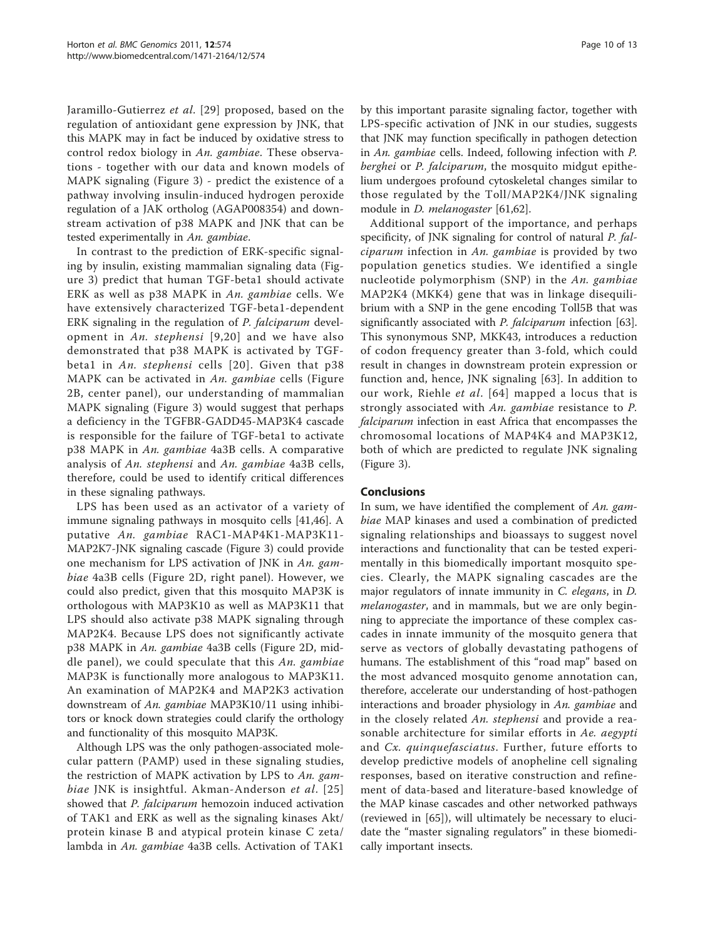Jaramillo-Gutierrez et al. [\[29\]](#page-11-0) proposed, based on the regulation of antioxidant gene expression by JNK, that this MAPK may in fact be induced by oxidative stress to control redox biology in An. gambiae. These observations - together with our data and known models of MAPK signaling (Figure [3](#page-8-0)) - predict the existence of a pathway involving insulin-induced hydrogen peroxide regulation of a JAK ortholog (AGAP008354) and downstream activation of p38 MAPK and JNK that can be tested experimentally in An. gambiae.

In contrast to the prediction of ERK-specific signaling by insulin, existing mammalian signaling data (Figure [3\)](#page-8-0) predict that human TGF-beta1 should activate ERK as well as p38 MAPK in An. gambiae cells. We have extensively characterized TGF-beta1-dependent ERK signaling in the regulation of P. falciparum development in An. stephensi [[9,](#page-10-0)[20](#page-11-0)] and we have also demonstrated that p38 MAPK is activated by TGFbeta1 in An. stephensi cells [[20\]](#page-11-0). Given that p38 MAPK can be activated in An. gambiae cells (Figure [2B](#page-6-0), center panel), our understanding of mammalian MAPK signaling (Figure [3\)](#page-8-0) would suggest that perhaps a deficiency in the TGFBR-GADD45-MAP3K4 cascade is responsible for the failure of TGF-beta1 to activate p38 MAPK in An. gambiae 4a3B cells. A comparative analysis of An. stephensi and An. gambiae 4a3B cells, therefore, could be used to identify critical differences in these signaling pathways.

LPS has been used as an activator of a variety of immune signaling pathways in mosquito cells [[41,46\]](#page-11-0). A putative An. gambiae RAC1-MAP4K1-MAP3K11- MAP2K7-JNK signaling cascade (Figure [3](#page-8-0)) could provide one mechanism for LPS activation of JNK in An. gambiae 4a3B cells (Figure [2D](#page-6-0), right panel). However, we could also predict, given that this mosquito MAP3K is orthologous with MAP3K10 as well as MAP3K11 that LPS should also activate p38 MAPK signaling through MAP2K4. Because LPS does not significantly activate p38 MAPK in An. gambiae 4a3B cells (Figure [2D](#page-6-0), middle panel), we could speculate that this  $An.$  gambiae MAP3K is functionally more analogous to MAP3K11. An examination of MAP2K4 and MAP2K3 activation downstream of An. gambiae MAP3K10/11 using inhibitors or knock down strategies could clarify the orthology and functionality of this mosquito MAP3K.

Although LPS was the only pathogen-associated molecular pattern (PAMP) used in these signaling studies, the restriction of MAPK activation by LPS to An. gam-biae JNK is insightful. Akman-Anderson et al. [[25](#page-11-0)] showed that *P. falciparum* hemozoin induced activation of TAK1 and ERK as well as the signaling kinases Akt/ protein kinase B and atypical protein kinase C zeta/ lambda in An. gambiae 4a3B cells. Activation of TAK1

by this important parasite signaling factor, together with LPS-specific activation of JNK in our studies, suggests that JNK may function specifically in pathogen detection in An. gambiae cells. Indeed, following infection with P. berghei or P. falciparum, the mosquito midgut epithelium undergoes profound cytoskeletal changes similar to those regulated by the Toll/MAP2K4/JNK signaling module in *D. melanogaster* [[61,62\]](#page-12-0).

Additional support of the importance, and perhaps specificity, of JNK signaling for control of natural P. falciparum infection in An. gambiae is provided by two population genetics studies. We identified a single nucleotide polymorphism (SNP) in the An. gambiae MAP2K4 (MKK4) gene that was in linkage disequilibrium with a SNP in the gene encoding Toll5B that was significantly associated with *P. falciparum* infection [[63](#page-12-0)]. This synonymous SNP, MKK43, introduces a reduction of codon frequency greater than 3-fold, which could result in changes in downstream protein expression or function and, hence, JNK signaling [\[63](#page-12-0)]. In addition to our work, Riehle et al. [[64\]](#page-12-0) mapped a locus that is strongly associated with An. gambiae resistance to P. falciparum infection in east Africa that encompasses the chromosomal locations of MAP4K4 and MAP3K12, both of which are predicted to regulate JNK signaling (Figure [3\)](#page-8-0).

### Conclusions

In sum, we have identified the complement of An. gambiae MAP kinases and used a combination of predicted signaling relationships and bioassays to suggest novel interactions and functionality that can be tested experimentally in this biomedically important mosquito species. Clearly, the MAPK signaling cascades are the major regulators of innate immunity in C. elegans, in D. melanogaster, and in mammals, but we are only beginning to appreciate the importance of these complex cascades in innate immunity of the mosquito genera that serve as vectors of globally devastating pathogens of humans. The establishment of this "road map" based on the most advanced mosquito genome annotation can, therefore, accelerate our understanding of host-pathogen interactions and broader physiology in An. gambiae and in the closely related An. stephensi and provide a reasonable architecture for similar efforts in Ae. aegypti and Cx. quinquefasciatus. Further, future efforts to develop predictive models of anopheline cell signaling responses, based on iterative construction and refinement of data-based and literature-based knowledge of the MAP kinase cascades and other networked pathways (reviewed in [[65\]](#page-12-0)), will ultimately be necessary to elucidate the "master signaling regulators" in these biomedically important insects.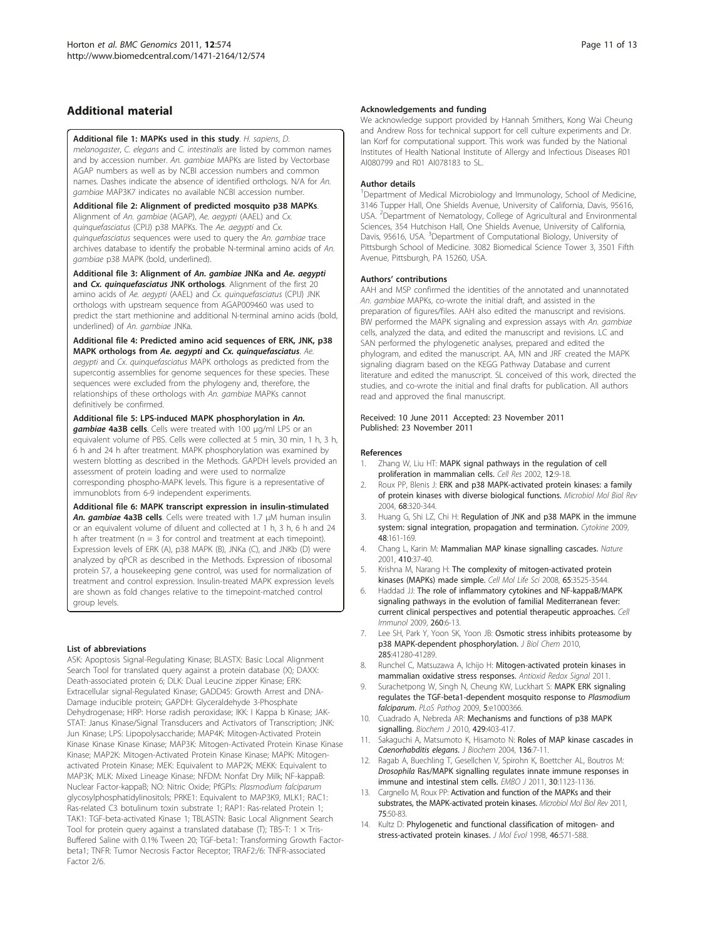## <span id="page-10-0"></span>Additional material

### [Additional file 1: M](http://www.biomedcentral.com/content/supplementary/1471-2164-12-574-S1.XLS)APKs used in this study. H. sapiens, D.

melanogaster, C. elegans and C. intestinalis are listed by common names and by accession number. An. gambiae MAPKs are listed by Vectorbase AGAP numbers as well as by NCBI accession numbers and common names. Dashes indicate the absence of identified orthologs. N/A for An. gambiae MAP3K7 indicates no available NCBI accession number.

[Additional file 2: A](http://www.biomedcentral.com/content/supplementary/1471-2164-12-574-S2.PDF)lignment of predicted mosquito p38 MAPKs. Alignment of An. gambiae (AGAP), Ae. aegypti (AAEL) and Cx. quinquefasciatus (CPIJ) p38 MAPKs. The Ae. aegypti and Cx. quinquefasciatus sequences were used to query the An. gambiae trace archives database to identify the probable N-terminal amino acids of An. gambiae p38 MAPK (bold, underlined).

[Additional file 3: A](http://www.biomedcentral.com/content/supplementary/1471-2164-12-574-S3.PDF)lignment of An. gambiae JNKa and Ae. aegypti and Cx. quinquefasciatus JNK orthologs. Alignment of the first 20 amino acids of Ae. aegypti (AAEL) and Cx. quinquefasciatus (CPIJ) JNK orthologs with upstream sequence from AGAP009460 was used to predict the start methionine and additional N-terminal amino acids (bold, underlined) of An. gambiae JNKa.

[Additional file 4: P](http://www.biomedcentral.com/content/supplementary/1471-2164-12-574-S4.PDF)redicted amino acid sequences of ERK, JNK, p38 MAPK orthologs from Ae. aegypti and Cx. quinquefasciatus. Ae. aegypti and Cx. quinquefasciatus MAPK orthologs as predicted from the supercontig assemblies for genome sequences for these species. These sequences were excluded from the phylogeny and, therefore, the relationships of these orthologs with An. gambiae MAPKs cannot definitively be confirmed.

#### [Additional file 5: L](http://www.biomedcentral.com/content/supplementary/1471-2164-12-574-S5.PDF)PS-induced MAPK phosphorylation in An.

gambiae 4a3B cells. Cells were treated with 100 <sup>μ</sup>g/ml LPS or an equivalent volume of PBS. Cells were collected at 5 min, 30 min, 1 h, 3 h, 6 h and 24 h after treatment. MAPK phosphorylation was examined by western blotting as described in the Methods. GAPDH levels provided an assessment of protein loading and were used to normalize corresponding phospho-MAPK levels. This figure is a representative of immunoblots from 6-9 independent experiments.

#### [Additional file 6: M](http://www.biomedcentral.com/content/supplementary/1471-2164-12-574-S6.PDF)APK transcript expression in insulin-stimulated An. gambiae 4a3B cells. Cells were treated with 1.7 <sup>μ</sup>M human insulin or an equivalent volume of diluent and collected at 1 h, 3 h, 6 h and 24 h after treatment ( $n = 3$  for control and treatment at each timepoint). Expression levels of ERK (A), p38 MAPK (B), JNKa (C), and JNKb (D) were analyzed by qPCR as described in the Methods. Expression of ribosomal protein S7, a housekeeping gene control, was used for normalization of treatment and control expression. Insulin-treated MAPK expression levels are shown as fold changes relative to the timepoint-matched control

#### List of abbreviations

group levels.

ASK: Apoptosis Signal-Regulating Kinase; BLASTX: Basic Local Alignment Search Tool for translated query against a protein database (X); DAXX: Death-associated protein 6; DLK: Dual Leucine zipper Kinase; ERK: Extracellular signal-Regulated Kinase; GADD45: Growth Arrest and DNA-Damage inducible protein; GAPDH: Glyceraldehyde 3-Phosphate Dehydrogenase; HRP: Horse radish peroxidase; IKK: I Kappa b Kinase; JAK-STAT: Janus Kinase/Signal Transducers and Activators of Transcription; JNK: Jun Kinase; LPS: Lipopolysaccharide; MAP4K: Mitogen-Activated Protein Kinase Kinase Kinase Kinase; MAP3K: Mitogen-Activated Protein Kinase Kinase Kinase; MAP2K: Mitogen-Activated Protein Kinase Kinase; MAPK: Mitogenactivated Protein Kinase; MEK: Equivalent to MAP2K; MEKK: Equivalent to MAP3K; MLK: Mixed Lineage Kinase; NFDM: Nonfat Dry Milk; NF-kappaB: Nuclear Factor-kappaB; NO: Nitric Oxide; PfGPIs: Plasmodium falciparum glycosylphosphatidylinositols; PRKE1: Equivalent to MAP3K9, MLK1; RAC1: Ras-related C3 botulinum toxin substrate 1; RAP1: Ras-related Protein 1; TAK1: TGF-beta-activated Kinase 1; TBLASTN: Basic Local Alignment Search Tool for protein query against a translated database (T); TBS-T:  $1 \times$  Tris-Buffered Saline with 0.1% Tween 20; TGF-beta1: Transforming Growth Factorbeta1; TNFR: Tumor Necrosis Factor Receptor; TRAF2:/6: TNFR-associated Factor 2/6.

#### Acknowledgements and funding

We acknowledge support provided by Hannah Smithers, Kong Wai Cheung and Andrew Ross for technical support for cell culture experiments and Dr. Ian Korf for computational support. This work was funded by the National Institutes of Health National Institute of Allergy and Infectious Diseases R01 AI080799 and R01 AI078183 to SL.

#### Author details

<sup>1</sup>Department of Medical Microbiology and Immunology, School of Medicine 3146 Tupper Hall, One Shields Avenue, University of California, Davis, 95616, USA. <sup>2</sup>Department of Nematology, College of Agricultural and Environmental Sciences, 354 Hutchison Hall, One Shields Avenue, University of California, Davis, 95616, USA. <sup>3</sup>Department of Computational Biology, University of Pittsburgh School of Medicine. 3082 Biomedical Science Tower 3, 3501 Fifth Avenue, Pittsburgh, PA 15260, USA.

#### Authors' contributions

AAH and MSP confirmed the identities of the annotated and unannotated An. gambiae MAPKs, co-wrote the initial draft, and assisted in the preparation of figures/files. AAH also edited the manuscript and revisions. BW performed the MAPK signaling and expression assays with An. gambiae cells, analyzed the data, and edited the manuscript and revisions. LC and SAN performed the phylogenetic analyses, prepared and edited the phylogram, and edited the manuscript. AA, MN and JRF created the MAPK signaling diagram based on the KEGG Pathway Database and current literature and edited the manuscript. SL conceived of this work, directed the studies, and co-wrote the initial and final drafts for publication. All authors read and approved the final manuscript.

#### Received: 10 June 2011 Accepted: 23 November 2011 Published: 23 November 2011

#### References

- 1. Zhang W, Liu HT: [MAPK signal pathways in the regulation of cell](http://www.ncbi.nlm.nih.gov/pubmed/11942415?dopt=Abstract) [proliferation in mammalian cells.](http://www.ncbi.nlm.nih.gov/pubmed/11942415?dopt=Abstract) Cell Res 2002, 12:9-18.
- 2. Roux PP, Blenis J: [ERK and p38 MAPK-activated protein kinases: a family](http://www.ncbi.nlm.nih.gov/pubmed/15187187?dopt=Abstract) [of protein kinases with diverse biological functions.](http://www.ncbi.nlm.nih.gov/pubmed/15187187?dopt=Abstract) Microbiol Mol Biol Rev 2004, 68:320-344.
- 3. Huang G, Shi LZ, Chi H: [Regulation of JNK and p38 MAPK in the immune](http://www.ncbi.nlm.nih.gov/pubmed/19740675?dopt=Abstract) [system: signal integration, propagation and termination.](http://www.ncbi.nlm.nih.gov/pubmed/19740675?dopt=Abstract) Cytokine 2009, 48:161-169.
- 4. Chang L, Karin M: [Mammalian MAP kinase signalling cascades.](http://www.ncbi.nlm.nih.gov/pubmed/11242034?dopt=Abstract) Nature 2001, 410:37-40.
- 5. Krishna M, Narang H: [The complexity of mitogen-activated protein](http://www.ncbi.nlm.nih.gov/pubmed/18668205?dopt=Abstract) [kinases \(MAPKs\) made simple.](http://www.ncbi.nlm.nih.gov/pubmed/18668205?dopt=Abstract) Cell Mol Life Sci 2008, 65:3525-3544.
- 6. Haddad JJ: [The role of inflammatory cytokines and NF-kappaB/MAPK](http://www.ncbi.nlm.nih.gov/pubmed/19733345?dopt=Abstract) [signaling pathways in the evolution of familial Mediterranean fever:](http://www.ncbi.nlm.nih.gov/pubmed/19733345?dopt=Abstract) [current clinical perspectives and potential therapeutic approaches.](http://www.ncbi.nlm.nih.gov/pubmed/19733345?dopt=Abstract) Cell Immunol 2009, 260:6-13.
- 7. Lee SH, Park Y, Yoon SK, Yoon JB: [Osmotic stress inhibits proteasome by](http://www.ncbi.nlm.nih.gov/pubmed/21044959?dopt=Abstract) [p38 MAPK-dependent phosphorylation.](http://www.ncbi.nlm.nih.gov/pubmed/21044959?dopt=Abstract) J Biol Chem 2010, 285:41280-41289.
- 8. Runchel C, Matsuzawa A, Ichijo H: Mitogen-activated protein kinases in mammalian oxidative stress responses. Antioxid Redox Signal 2011.
- 9. Surachetpong W, Singh N, Cheung KW, Luckhart S: [MAPK ERK signaling](http://www.ncbi.nlm.nih.gov/pubmed/19343212?dopt=Abstract) [regulates the TGF-beta1-dependent mosquito response to](http://www.ncbi.nlm.nih.gov/pubmed/19343212?dopt=Abstract) Plasmodium [falciparum](http://www.ncbi.nlm.nih.gov/pubmed/19343212?dopt=Abstract). PLoS Pathog 2009, 5:e1000366.
- 10. Cuadrado A, Nebreda AR: [Mechanisms and functions of p38 MAPK](http://www.ncbi.nlm.nih.gov/pubmed/20626350?dopt=Abstract) [signalling.](http://www.ncbi.nlm.nih.gov/pubmed/20626350?dopt=Abstract) Biochem J 2010, 429:403-417.
- 11. Sakaguchi A, Matsumoto K, Hisamoto N: [Roles of MAP kinase cascades in](http://www.ncbi.nlm.nih.gov/pubmed/15269234?dopt=Abstract) [Caenorhabditis elegans](http://www.ncbi.nlm.nih.gov/pubmed/15269234?dopt=Abstract). J Biochem 2004, 136:7-11.
- 12. Ragab A, Buechling T, Gesellchen V, Spirohn K, Boettcher AL, Boutros M: Drosophila [Ras/MAPK signalling regulates innate immune responses in](http://www.ncbi.nlm.nih.gov/pubmed/21297578?dopt=Abstract) [immune and intestinal stem cells.](http://www.ncbi.nlm.nih.gov/pubmed/21297578?dopt=Abstract) EMBO J 2011, 30:1123-1136.
- 13. Cargnello M, Roux PP: [Activation and function of the MAPKs and their](http://www.ncbi.nlm.nih.gov/pubmed/21372320?dopt=Abstract) [substrates, the MAPK-activated protein kinases.](http://www.ncbi.nlm.nih.gov/pubmed/21372320?dopt=Abstract) Microbiol Mol Biol Rev 2011, 75:50-83.
- 14. Kultz D: [Phylogenetic and functional classification of mitogen- and](http://www.ncbi.nlm.nih.gov/pubmed/9545468?dopt=Abstract) [stress-activated protein kinases.](http://www.ncbi.nlm.nih.gov/pubmed/9545468?dopt=Abstract) J Mol Evol 1998, 46:571-588.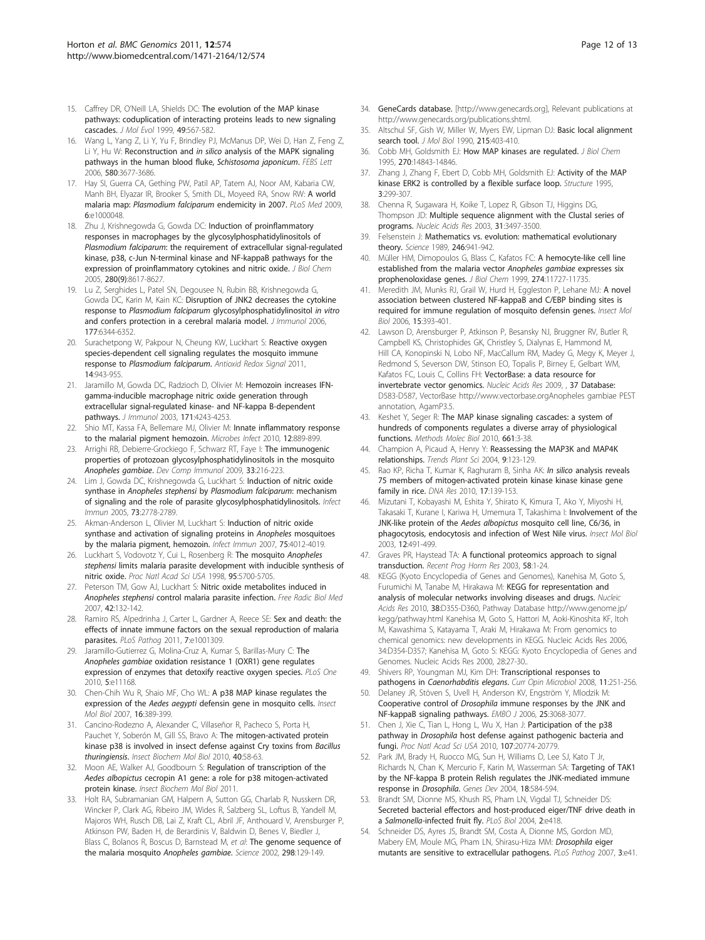- <span id="page-11-0"></span>15. Caffrey DR, O'Neill LA, Shields DC: [The evolution of the MAP kinase](http://www.ncbi.nlm.nih.gov/pubmed/10552038?dopt=Abstract) [pathways: coduplication of interacting proteins leads to new signaling](http://www.ncbi.nlm.nih.gov/pubmed/10552038?dopt=Abstract) [cascades.](http://www.ncbi.nlm.nih.gov/pubmed/10552038?dopt=Abstract) J Mol Evol 1999, 49:567-582.
- 16. Wang L, Yang Z, Li Y, Yu F, Brindley PJ, McManus DP, Wei D, Han Z, Feng Z, Li Y, Hu W: Reconstruction and in silico [analysis of the MAPK signaling](http://www.ncbi.nlm.nih.gov/pubmed/16765950?dopt=Abstract) [pathways in the human blood fluke,](http://www.ncbi.nlm.nih.gov/pubmed/16765950?dopt=Abstract) Schistosoma japonicum. FEBS Lett 2006, 580:3677-3686.
- 17. Hay SI, Guerra CA, Gething PW, Patil AP, Tatem AJ, Noor AM, Kabaria CW, Manh BH, Elyazar IR, Brooker S, Smith DL, Moyeed RA, Snow RW: [A world](http://www.ncbi.nlm.nih.gov/pubmed/19323591?dopt=Abstract) malaria map: [Plasmodium falciparum](http://www.ncbi.nlm.nih.gov/pubmed/19323591?dopt=Abstract) endemicity in 2007. PLoS Med 2009, 6:e1000048.
- 18. Zhu J, Krishnegowda G, Gowda DC: [Induction of proinflammatory](http://www.ncbi.nlm.nih.gov/pubmed/15611045?dopt=Abstract) [responses in macrophages by the glycosylphosphatidylinositols of](http://www.ncbi.nlm.nih.gov/pubmed/15611045?dopt=Abstract) Plasmodium falciparum[: the requirement of extracellular signal-regulated](http://www.ncbi.nlm.nih.gov/pubmed/15611045?dopt=Abstract) [kinase, p38, c-Jun N-terminal kinase and NF-kappaB pathways for the](http://www.ncbi.nlm.nih.gov/pubmed/15611045?dopt=Abstract) [expression of proinflammatory cytokines and nitric oxide.](http://www.ncbi.nlm.nih.gov/pubmed/15611045?dopt=Abstract) J Biol Chem 2005, 280(9):8617-8627.
- 19. Lu Z, Serghides L, Patel SN, Degousee N, Rubin BB, Krishnegowda G, Gowda DC, Karin M, Kain KC: [Disruption of JNK2 decreases the cytokine](http://www.ncbi.nlm.nih.gov/pubmed/17056565?dopt=Abstract) response to Plasmodium falciparum [glycosylphosphatidylinositol](http://www.ncbi.nlm.nih.gov/pubmed/17056565?dopt=Abstract) in vitro [and confers protection in a cerebral malaria model.](http://www.ncbi.nlm.nih.gov/pubmed/17056565?dopt=Abstract) J Immunol 2006, 177:6344-6352.
- 20. Surachetpong W, Pakpour N, Cheung KW, Luckhart S: [Reactive oxygen](http://www.ncbi.nlm.nih.gov/pubmed/21126166?dopt=Abstract) [species-dependent cell signaling regulates the mosquito immune](http://www.ncbi.nlm.nih.gov/pubmed/21126166?dopt=Abstract) response to [Plasmodium falciparum](http://www.ncbi.nlm.nih.gov/pubmed/21126166?dopt=Abstract). Antioxid Redox Signal 2011, 14:943-955.
- 21. Jaramillo M, Gowda DC, Radzioch D, Olivier M: [Hemozoin increases IFN](http://www.ncbi.nlm.nih.gov/pubmed/14530348?dopt=Abstract)[gamma-inducible macrophage nitric oxide generation through](http://www.ncbi.nlm.nih.gov/pubmed/14530348?dopt=Abstract) [extracellular signal-regulated kinase- and NF-kappa B-dependent](http://www.ncbi.nlm.nih.gov/pubmed/14530348?dopt=Abstract) [pathways.](http://www.ncbi.nlm.nih.gov/pubmed/14530348?dopt=Abstract) J Immunol 2003, 171:4243-4253.
- 22. Shio MT, Kassa FA, Bellemare MJ, Olivier M: [Innate inflammatory response](http://www.ncbi.nlm.nih.gov/pubmed/20637890?dopt=Abstract) [to the malarial pigment hemozoin.](http://www.ncbi.nlm.nih.gov/pubmed/20637890?dopt=Abstract) Microbes Infect 2010, 12:889-899
- 23. Arrighi RB, Debierre-Grockiego F, Schwarz RT, Faye I: [The immunogenic](http://www.ncbi.nlm.nih.gov/pubmed/18822312?dopt=Abstract) [properties of protozoan glycosylphosphatidylinositols in the mosquito](http://www.ncbi.nlm.nih.gov/pubmed/18822312?dopt=Abstract) [Anopheles gambiae](http://www.ncbi.nlm.nih.gov/pubmed/18822312?dopt=Abstract). Dev Comp Immunol 2009, 33:216-223.
- 24. Lim J, Gowda DC, Krishnegowda G, Luckhart S: [Induction of nitric oxide](http://www.ncbi.nlm.nih.gov/pubmed/15845481?dopt=Abstract) synthase in Anopheles stephensi by [Plasmodium falciparum](http://www.ncbi.nlm.nih.gov/pubmed/15845481?dopt=Abstract): mechanism [of signaling and the role of parasite glycosylphosphatidylinositols.](http://www.ncbi.nlm.nih.gov/pubmed/15845481?dopt=Abstract) Infect Immun 2005, 73:2778-2789.
- 25. Akman-Anderson L, Olivier M, Luckhart S: [Induction of nitric oxide](http://www.ncbi.nlm.nih.gov/pubmed/17526741?dopt=Abstract) [synthase and activation of signaling proteins in](http://www.ncbi.nlm.nih.gov/pubmed/17526741?dopt=Abstract) Anopheles mosquitoes by the [malaria pigment, hemozoin.](http://www.ncbi.nlm.nih.gov/pubmed/17526741?dopt=Abstract) Infect Immun 2007, 75:4012-4019.
- 26. Luckhart S, Vodovotz Y, Cui L, Rosenberg R: [The mosquito](http://www.ncbi.nlm.nih.gov/pubmed/9576947?dopt=Abstract) Anopheles stephensi [limits malaria parasite development with inducible synthesis of](http://www.ncbi.nlm.nih.gov/pubmed/9576947?dopt=Abstract) [nitric oxide.](http://www.ncbi.nlm.nih.gov/pubmed/9576947?dopt=Abstract) Proc Natl Acad Sci USA 1998, 95:5700-5705.
- 27. Peterson TM, Gow AJ, Luckhart S: [Nitric oxide metabolites induced in](http://www.ncbi.nlm.nih.gov/pubmed/17157200?dopt=Abstract) Anopheles stephensi [control malaria parasite infection.](http://www.ncbi.nlm.nih.gov/pubmed/17157200?dopt=Abstract) Free Radic Biol Med 2007, 42:132-142.
- 28. Ramiro RS, Alpedrinha J, Carter L, Gardner A, Reece SE: [Sex and death: the](http://www.ncbi.nlm.nih.gov/pubmed/21408620?dopt=Abstract) [effects of innate immune factors on the sexual reproduction of malaria](http://www.ncbi.nlm.nih.gov/pubmed/21408620?dopt=Abstract) [parasites.](http://www.ncbi.nlm.nih.gov/pubmed/21408620?dopt=Abstract) PLoS Pathog 2011, 7:e1001309.
- 29. Jaramillo-Gutierrez G, Molina-Cruz A, Kumar S, Barillas-Mury C: [The](http://www.ncbi.nlm.nih.gov/pubmed/20567517?dopt=Abstract) Anopheles gambiae [oxidation resistance 1 \(OXR1\) gene regulates](http://www.ncbi.nlm.nih.gov/pubmed/20567517?dopt=Abstract) [expression of enzymes that detoxify reactive oxygen species.](http://www.ncbi.nlm.nih.gov/pubmed/20567517?dopt=Abstract) PLoS One 2010, 5:e11168.
- 30. Chen-Chih Wu R, Shaio MF, Cho WL: [A p38 MAP kinase regulates the](http://www.ncbi.nlm.nih.gov/pubmed/17466055?dopt=Abstract) expression of the Aedes aegypti [defensin gene in mosquito cells.](http://www.ncbi.nlm.nih.gov/pubmed/17466055?dopt=Abstract) Insect Mol Biol 2007, 16:389-399.
- 31. Cancino-Rodezno A, Alexander C, Villaseñor R, Pacheco S, Porta H, Pauchet Y, Soberón M, Gill SS, Bravo A: [The mitogen-activated protein](http://www.ncbi.nlm.nih.gov/pubmed/20040372?dopt=Abstract) [kinase p38 is involved in insect defense against Cry toxins from](http://www.ncbi.nlm.nih.gov/pubmed/20040372?dopt=Abstract) Bacillus [thuringiensis](http://www.ncbi.nlm.nih.gov/pubmed/20040372?dopt=Abstract). Insect Biochem Mol Biol 2010, 40:58-63.
- 32. Moon AE, Walker AJ, Goodbourn S: Regulation of transcription of the Aedes albopictus cecropin A1 gene: a role for p38 mitogen-activated protein kinase. Insect Biochem Mol Biol 2011.
- 33. Holt RA, Subramanian GM, Halpern A, Sutton GG, Charlab R, Nusskern DR, Wincker P, Clark AG, Ribeiro JM, Wides R, Salzberg SL, Loftus B, Yandell M, Majoros WH, Rusch DB, Lai Z, Kraft CL, Abril JF, Anthouard V, Arensburger P, Atkinson PW, Baden H, de Berardinis V, Baldwin D, Benes V, Biedler J, Blass C, Bolanos R, Boscus D, Barnstead M, et al: [The genome sequence of](http://www.ncbi.nlm.nih.gov/pubmed/12364791?dopt=Abstract) [the malaria mosquito](http://www.ncbi.nlm.nih.gov/pubmed/12364791?dopt=Abstract) Anopheles gambiae. Science 2002, 298:129-149.
- 34. GeneCards database. [<http://www.genecards.org>], Relevant publications at http://www.genecards.org/publications.shtml.
- 35. Altschul SF, Gish W, Miller W, Myers EW, Lipman DJ: [Basic local alignment](http://www.ncbi.nlm.nih.gov/pubmed/2231712?dopt=Abstract) [search tool.](http://www.ncbi.nlm.nih.gov/pubmed/2231712?dopt=Abstract) *J Mol Biol* 1990, 215:403-410.
- 36. Cobb MH, Goldsmith EJ: [How MAP kinases are regulated.](http://www.ncbi.nlm.nih.gov/pubmed/7797459?dopt=Abstract) J Biol Chem 1995, 270:14843-14846.
- 37. Zhang J, Zhang F, Ebert D, Cobb MH, Goldsmith EJ: [Activity of the MAP](http://www.ncbi.nlm.nih.gov/pubmed/7540485?dopt=Abstract) [kinase ERK2 is controlled by a flexible surface loop.](http://www.ncbi.nlm.nih.gov/pubmed/7540485?dopt=Abstract) Structure 1995, 3:299-307.
- 38. Chenna R, Sugawara H, Koike T, Lopez R, Gibson TJ, Higgins DG, Thompson JD: [Multiple sequence alignment with the Clustal series of](http://www.ncbi.nlm.nih.gov/pubmed/12824352?dopt=Abstract) [programs.](http://www.ncbi.nlm.nih.gov/pubmed/12824352?dopt=Abstract) Nucleic Acids Res 2003, 31:3497-3500.
- 39. Felsenstein J: [Mathematics vs. evolution: mathematical evolutionary](http://www.ncbi.nlm.nih.gov/pubmed/17812579?dopt=Abstract) [theory.](http://www.ncbi.nlm.nih.gov/pubmed/17812579?dopt=Abstract) Science 1989, 246:941-942.
- 40. Müller HM, Dimopoulos G, Blass C, Kafatos FC: [A hemocyte-like cell line](http://www.ncbi.nlm.nih.gov/pubmed/10206988?dopt=Abstract) [established from the malaria vector](http://www.ncbi.nlm.nih.gov/pubmed/10206988?dopt=Abstract) Anopheles gambiae expresses six [prophenoloxidase genes.](http://www.ncbi.nlm.nih.gov/pubmed/10206988?dopt=Abstract) J Biol Chem 1999, 274:11727-11735.
- 41. Meredith JM, Munks RJ, Grail W, Hurd H, Eggleston P, Lehane MJ: [A novel](http://www.ncbi.nlm.nih.gov/pubmed/16907826?dopt=Abstract) [association between clustered NF-kappaB and C/EBP binding sites is](http://www.ncbi.nlm.nih.gov/pubmed/16907826?dopt=Abstract) [required for immune regulation of mosquito defensin genes.](http://www.ncbi.nlm.nih.gov/pubmed/16907826?dopt=Abstract) Insect Mol Biol 2006, 15:393-401.
- 42. Lawson D, Arensburger P, Atkinson P, Besansky NJ, Bruggner RV, Butler R, Campbell KS, Christophides GK, Christley S, Dialynas E, Hammond M, Hill CA, Konopinski N, Lobo NF, MacCallum RM, Madey G, Megy K, Meyer J, Redmond S, Severson DW, Stinson EO, Topalis P, Birney E, Gelbart WM, Kafatos FC, Louis C, Collins FH: VectorBase: a data resource for invertebrate vector genomics. Nucleic Acids Res 2009, , 37 Database: D583-D587, VectorBase http://www.vectorbase.orgAnopheles gambiae PEST annotation, AgamP3.5.
- 43. Keshet Y, Seger R: The MAP kinase signaling cascades: a system of hundreds of components regulates a diverse array of physiological functions. Methods Molec Biol 2010, 661:3-38.
- 44. Champion A, Picaud A, Henry Y: [Reassessing the MAP3K and MAP4K](http://www.ncbi.nlm.nih.gov/pubmed/15003235?dopt=Abstract) [relationships.](http://www.ncbi.nlm.nih.gov/pubmed/15003235?dopt=Abstract) Trends Plant Sci 2004, 9:123-129.
- 45. Rao KP, Richa T, Kumar K, Raghuram B, Sinha AK: *In silico* [analysis reveals](http://www.ncbi.nlm.nih.gov/pubmed/20395279?dopt=Abstract) [75 members of mitogen-activated protein kinase kinase kinase gene](http://www.ncbi.nlm.nih.gov/pubmed/20395279?dopt=Abstract) [family in rice.](http://www.ncbi.nlm.nih.gov/pubmed/20395279?dopt=Abstract) DNA Res 2010, 17:139-153.
- 46. Mizutani T, Kobayashi M, Eshita Y, Shirato K, Kimura T, Ako Y, Miyoshi H, Takasaki T, Kurane I, Kariwa H, Umemura T, Takashima I: [Involvement of the](http://www.ncbi.nlm.nih.gov/pubmed/12974954?dopt=Abstract) JNK-like protein of the Aedes albopictus [mosquito cell line, C6/36, in](http://www.ncbi.nlm.nih.gov/pubmed/12974954?dopt=Abstract) [phagocytosis, endocytosis and infection of West Nile virus.](http://www.ncbi.nlm.nih.gov/pubmed/12974954?dopt=Abstract) Insect Mol Biol 2003, 12:491-499.
- 47. Graves PR, Haystead TA: [A functional proteomics approach to signal](http://www.ncbi.nlm.nih.gov/pubmed/12795412?dopt=Abstract) [transduction.](http://www.ncbi.nlm.nih.gov/pubmed/12795412?dopt=Abstract) Recent Prog Horm Res 2003, 58:1-24.
- 48. KEGG (Kyoto Encyclopedia of Genes and Genomes), Kanehisa M, Goto S, Furumichi M, Tanabe M, Hirakawa M: [KEGG for representation and](http://www.ncbi.nlm.nih.gov/pubmed/19880382?dopt=Abstract) [analysis of molecular networks involving diseases and drugs.](http://www.ncbi.nlm.nih.gov/pubmed/19880382?dopt=Abstract) Nucleic Acids Res 2010, 38:D355-D360, Pathway Database http://www.genome.jp/ kegg/pathway.html Kanehisa M, Goto S, Hattori M, Aoki-Kinoshita KF, Itoh M, Kawashima S, Katayama T, Araki M, Hirakawa M: From genomics to chemical genomics: new developments in KEGG. Nucleic Acids Res 2006, 34:D354-D357; Kanehisa M, Goto S: KEGG: Kyoto Encyclopedia of Genes and Genomes. Nucleic Acids Res 2000, 28:27-30..
- 49. Shivers RP, Youngman MJ, Kim DH: [Transcriptional responses to](http://www.ncbi.nlm.nih.gov/pubmed/18567532?dopt=Abstract) pathogens in [Caenorhabditis elegans](http://www.ncbi.nlm.nih.gov/pubmed/18567532?dopt=Abstract). Curr Opin Microbiol 2008, 11:251-256.
- 50. Delaney JR, Stöven S, Uvell H, Anderson KV, Engström Y, Mlodzik M: Cooperative control of Drosophila [immune responses by the JNK and](http://www.ncbi.nlm.nih.gov/pubmed/16763552?dopt=Abstract) [NF-kappaB signaling pathways.](http://www.ncbi.nlm.nih.gov/pubmed/16763552?dopt=Abstract) EMBO J 2006, 25:3068-3077.
- 51. Chen J, Xie C, Tian L, Hong L, Wu X, Han J: [Participation of the p38](http://www.ncbi.nlm.nih.gov/pubmed/21076039?dopt=Abstract) pathway in Drosophila [host defense against pathogenic bacteria and](http://www.ncbi.nlm.nih.gov/pubmed/21076039?dopt=Abstract) [fungi.](http://www.ncbi.nlm.nih.gov/pubmed/21076039?dopt=Abstract) Proc Natl Acad Sci USA 2010, 107:20774-20779.
- 52. Park JM, Brady H, Ruocco MG, Sun H, Williams D, Lee SJ, Kato T Jr, Richards N, Chan K, Mercurio F, Karin M, Wasserman SA: [Targeting of TAK1](http://www.ncbi.nlm.nih.gov/pubmed/15037551?dopt=Abstract) [by the NF-kappa B protein Relish regulates the JNK-mediated immune](http://www.ncbi.nlm.nih.gov/pubmed/15037551?dopt=Abstract) [response in](http://www.ncbi.nlm.nih.gov/pubmed/15037551?dopt=Abstract) Drosophila. Genes Dev 2004, 18:584-594.
- 53. Brandt SM, Dionne MS, Khush RS, Pham LN, Vigdal TJ, Schneider DS: [Secreted bacterial effectors and host-produced eiger/TNF drive death in](http://www.ncbi.nlm.nih.gov/pubmed/15562316?dopt=Abstract) a Salmonella[-infected fruit fly.](http://www.ncbi.nlm.nih.gov/pubmed/15562316?dopt=Abstract) PLoS Biol 2004, 2:e418.
- 54. Schneider DS, Ayres JS, Brandt SM, Costa A, Dionne MS, Gordon MD, Mabery EM, Moule MG, Pham LN, Shirasu-Hiza MM: [Drosophila](http://www.ncbi.nlm.nih.gov/pubmed/17381241?dopt=Abstract) eiger [mutants are sensitive to extracellular pathogens.](http://www.ncbi.nlm.nih.gov/pubmed/17381241?dopt=Abstract) PLoS Pathog 2007, 3:e41.